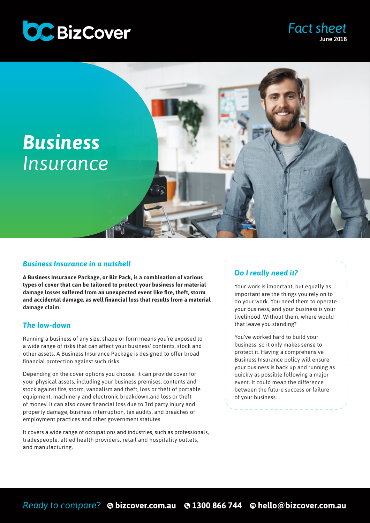



### *Business Insurance in a nutshell*

**A Business Insurance Package, or Biz Pack, is a combination of various types of cover that can be tailored to protect your business for material damage losses suffered from an unexpected event like fire, theft, storm and accidental damage, as well financial loss that results from a material damage claim.**

### *The low-down*

Running a business of any size, shape or form means you're exposed to a wide range of risks that can affect your business' contents, stock and other assets. A Business Insurance Package is designed to offer broad financial protection against such risks.

Depending on the cover options you choose, it can provide cover for your physical assets, including your business premises, contents and stock against fire, storm, vandalism and theft, loss or theft of portable equipment, machinery and electronic breakdown,and loss or theft of money. It can also cover financial loss due to 3rd party injury and property damage, business interruption, tax audits, and breaches of employment practices and other government statutes.

It covers a wide range of occupations and industries, such as professionals, tradespeople, allied health providers, retail and hospitality outlets, and manufacturing.

## *Do I really need it?*

Your work is important, but equally as important are the things you rely on to do your work. You need them to operate your business, and your business is your livelihood. Without them, where would that leave you standing?

*Fact sheet*

June 2018

You've worked hard to build your business, so it only makes sense to protect it. Having a comprehensive Business Insurance policy will ensure your business is back up and running as quickly as possible following a major event. It could mean the difference between the future success or failure of your business.